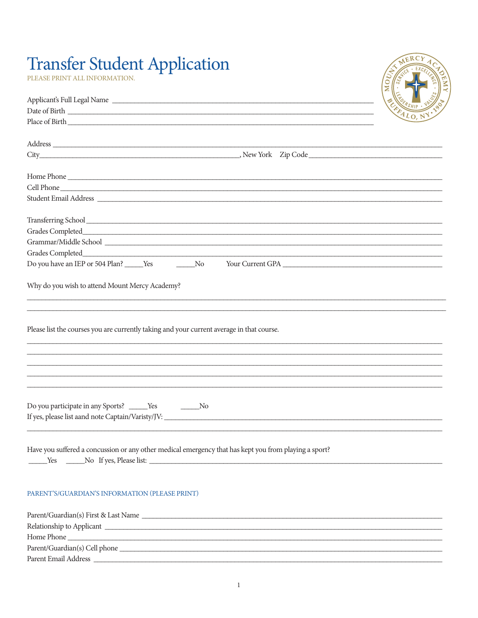## **Transfer Student Application**

PLEASE PRINT ALL INFORMATION.

| MERCY<br>EXCELLED<br><b>CANTICE</b><br>$\overline{\mathsf{M}}$<br><b>WEDERSHIP</b><br>VR<br>EFALO, |
|----------------------------------------------------------------------------------------------------|
|                                                                                                    |

|                                                                                                       | <b>PALO, NY.</b> |
|-------------------------------------------------------------------------------------------------------|------------------|
|                                                                                                       |                  |
|                                                                                                       |                  |
|                                                                                                       |                  |
|                                                                                                       |                  |
| Home Phone                                                                                            |                  |
| Cell Phone                                                                                            |                  |
| Student Email Address                                                                                 |                  |
|                                                                                                       |                  |
|                                                                                                       |                  |
|                                                                                                       |                  |
|                                                                                                       |                  |
| Grades Completed                                                                                      |                  |
| Do you have an IEP or 504 Plan? ______Yes ______________No<br>Your Current GPA                        |                  |
| Why do you wish to attend Mount Mercy Academy?                                                        |                  |
|                                                                                                       |                  |
|                                                                                                       |                  |
|                                                                                                       |                  |
| Please list the courses you are currently taking and your current average in that course.             |                  |
|                                                                                                       |                  |
|                                                                                                       |                  |
|                                                                                                       |                  |
|                                                                                                       |                  |
|                                                                                                       |                  |
|                                                                                                       |                  |
| Do you participate in any Sports? ______Yes ____________No                                            |                  |
|                                                                                                       |                  |
|                                                                                                       |                  |
| Have you suffered a concussion or any other medical emergency that has kept you from playing a sport? |                  |
|                                                                                                       |                  |
|                                                                                                       |                  |
|                                                                                                       |                  |
| PARENT'S/GUARDIAN'S INFORMATION (PLEASE PRINT)                                                        |                  |
|                                                                                                       |                  |
|                                                                                                       |                  |
|                                                                                                       |                  |
|                                                                                                       |                  |
|                                                                                                       |                  |
|                                                                                                       |                  |